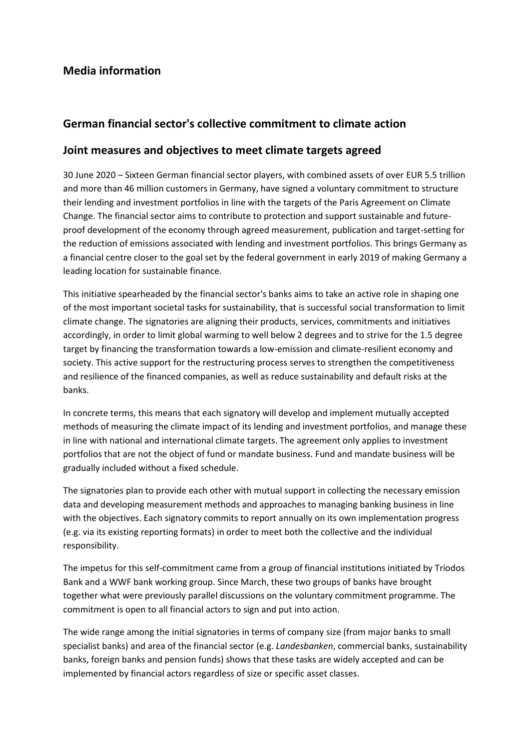## **Media information**

## **German financial sector's collective commitment to climate action**

## **Joint measures and objectives to meet climate targets agreed**

30 June 2020 – Sixteen German financial sector players, with combined assets of over EUR 5.5 trillion and more than 46 million customers in Germany, have signed a voluntary commitment to structure their lending and investment portfolios in line with the targets of the Paris Agreement on Climate Change. The financial sector aims to contribute to protection and support sustainable and futureproof development of the economy through agreed measurement, publication and target-setting for the reduction of emissions associated with lending and investment portfolios. This brings Germany as a financial centre closer to the goal set by the federal government in early 2019 of making Germany a leading location for sustainable finance.

This initiative spearheaded by the financial sector's banks aims to take an active role in shaping one of the most important societal tasks for sustainability, that is successful social transformation to limit climate change. The signatories are aligning their products, services, commitments and initiatives accordingly, in order to limit global warming to well below 2 degrees and to strive for the 1.5 degree target by financing the transformation towards a low-emission and climate-resilient economy and society. This active support for the restructuring process serves to strengthen the competitiveness and resilience of the financed companies, as well as reduce sustainability and default risks at the banks.

In concrete terms, this means that each signatory will develop and implement mutually accepted methods of measuring the climate impact of its lending and investment portfolios, and manage these in line with national and international climate targets. The agreement only applies to investment portfolios that are not the object of fund or mandate business. Fund and mandate business will be gradually included without a fixed schedule.

The signatories plan to provide each other with mutual support in collecting the necessary emission data and developing measurement methods and approaches to managing banking business in line with the objectives. Each signatory commits to report annually on its own implementation progress (e.g. via its existing reporting formats) in order to meet both the collective and the individual responsibility.

The impetus for this self-commitment came from a group of financial institutions initiated by Triodos Bank and a WWF bank working group. Since March, these two groups of banks have brought together what were previously parallel discussions on the voluntary commitment programme. The commitment is open to all financial actors to sign and put into action.

The wide range among the initial signatories in terms of company size (from major banks to small specialist banks) and area of the financial sector (e.g. *Landesbanken*, commercial banks, sustainability banks, foreign banks and pension funds) shows that these tasks are widely accepted and can be implemented by financial actors regardless of size or specific asset classes.